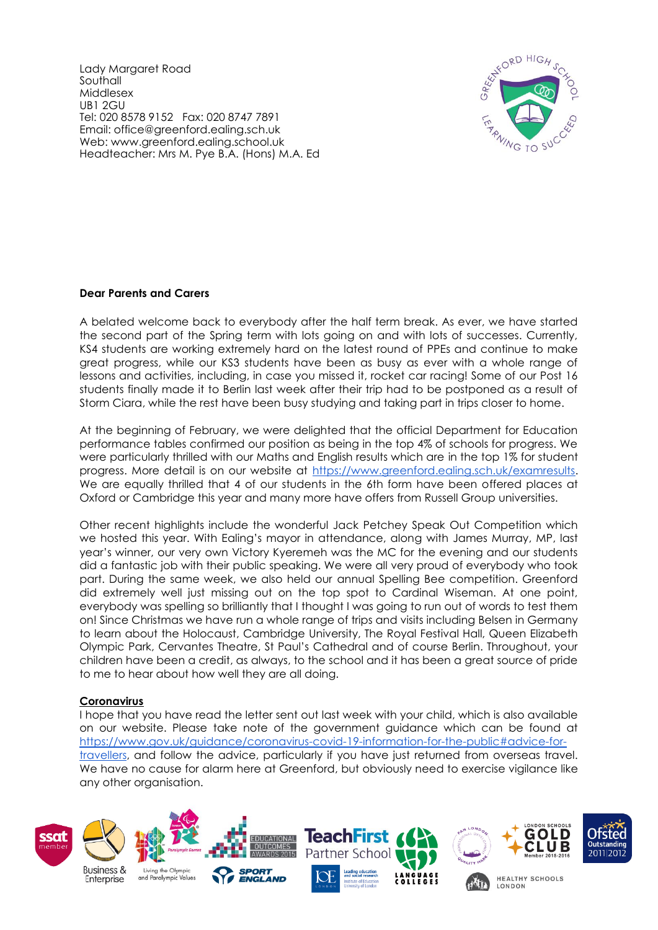Lady Margaret Road Southall Middlesex UB1 2GU Tel: 020 8578 9152 Fax: 020 8747 7891 Email: office@greenford.ealing.sch.uk Web: www.greenford.ealing.school.uk Headteacher: Mrs M. Pye B.A. (Hons) M.A. Ed



# **Dear Parents and Carers**

A belated welcome back to everybody after the half term break. As ever, we have started the second part of the Spring term with lots going on and with lots of successes. Currently, KS4 students are working extremely hard on the latest round of PPEs and continue to make great progress, while our KS3 students have been as busy as ever with a whole range of lessons and activities, including, in case you missed it, rocket car racing! Some of our Post 16 students finally made it to Berlin last week after their trip had to be postponed as a result of Storm Ciara, while the rest have been busy studying and taking part in trips closer to home.

At the beginning of February, we were delighted that the official Department for Education performance tables confirmed our position as being in the top 4% of schools for progress. We were particularly thrilled with our Maths and English results which are in the top 1% for student progress. More detail is on our website at [https://www.greenford.ealing.sch.uk/examresults.](https://www.greenford.ealing.sch.uk/examresults) We are equally thrilled that 4 of our students in the 6th form have been offered places at Oxford or Cambridge this year and many more have offers from Russell Group universities.

Other recent highlights include the wonderful Jack Petchey Speak Out Competition which we hosted this year. With Ealing's mayor in attendance, along with James Murray, MP, last year's winner, our very own Victory Kyeremeh was the MC for the evening and our students did a fantastic job with their public speaking. We were all very proud of everybody who took part. During the same week, we also held our annual Spelling Bee competition. Greenford did extremely well just missing out on the top spot to Cardinal Wiseman. At one point, everybody was spelling so brilliantly that I thought I was going to run out of words to test them on! Since Christmas we have run a whole range of trips and visits including Belsen in Germany to learn about the Holocaust, Cambridge University, The Royal Festival Hall, Queen Elizabeth Olympic Park, Cervantes Theatre, St Paul's Cathedral and of course Berlin. Throughout, your children have been a credit, as always, to the school and it has been a great source of pride to me to hear about how well they are all doing.

## **Coronavirus**

I hope that you have read the letter sent out last week with your child, which is also available on our website. Please take note of the government guidance which can be found at [https://www.gov.uk/guidance/coronavirus-covid-19-information-for-the-public#advice-for](https://www.gov.uk/guidance/coronavirus-covid-19-information-for-the-public#advice-for-travellers)[travellers,](https://www.gov.uk/guidance/coronavirus-covid-19-information-for-the-public#advice-for-travellers) and follow the advice, particularly if you have just returned from overseas travel. We have no cause for alarm here at Greenford, but obviously need to exercise vigilance like any other organisation.

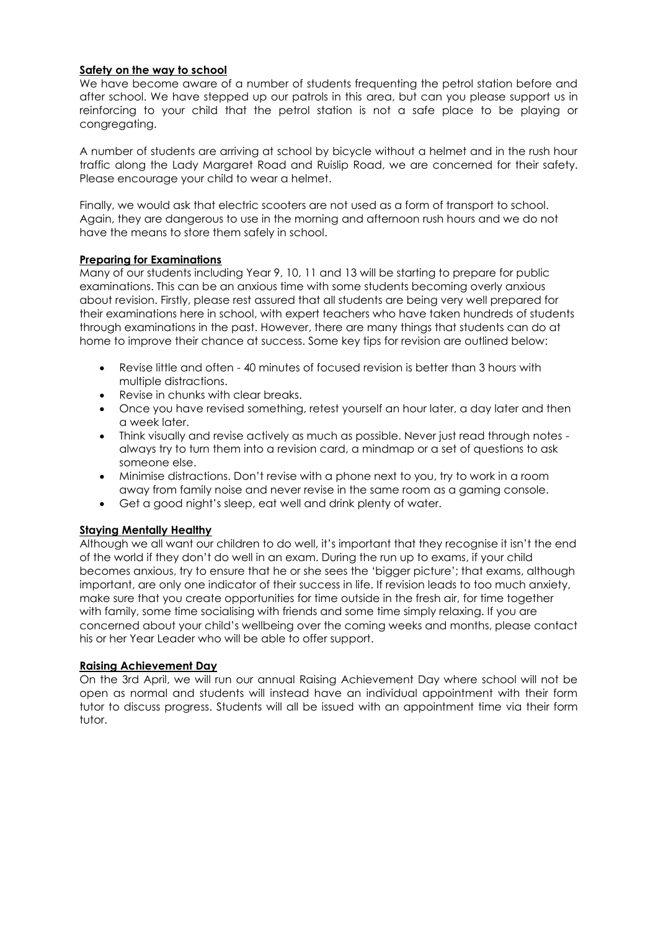### **Safety on the way to school**

We have become aware of a number of students frequenting the petrol station before and after school. We have stepped up our patrols in this area, but can you please support us in reinforcing to your child that the petrol station is not a safe place to be playing or congregating.

A number of students are arriving at school by bicycle without a helmet and in the rush hour traffic along the Lady Margaret Road and Ruislip Road, we are concerned for their safety. Please encourage your child to wear a helmet.

Finally, we would ask that electric scooters are not used as a form of transport to school. Again, they are dangerous to use in the morning and afternoon rush hours and we do not have the means to store them safely in school.

## **Preparing for Examinations**

Many of our students including Year 9, 10, 11 and 13 will be starting to prepare for public examinations. This can be an anxious time with some students becoming overly anxious about revision. Firstly, please rest assured that all students are being very well prepared for their examinations here in school, with expert teachers who have taken hundreds of students through examinations in the past. However, there are many things that students can do at home to improve their chance at success. Some key tips for revision are outlined below:

- Revise little and often 40 minutes of focused revision is better than 3 hours with multiple distractions.
- Revise in chunks with clear breaks.
- Once you have revised something, retest yourself an hour later, a day later and then a week later.
- Think visually and revise actively as much as possible. Never just read through notes always try to turn them into a revision card, a mindmap or a set of questions to ask someone else.
- Minimise distractions. Don't revise with a phone next to you, try to work in a room away from family noise and never revise in the same room as a gaming console.
- Get a good night's sleep, eat well and drink plenty of water.

# **Staying Mentally Healthy**

Although we all want our children to do well, it's important that they recognise it isn't the end of the world if they don't do well in an exam. During the run up to exams, if your child becomes anxious, try to ensure that he or she sees the 'bigger picture'; that exams, although important, are only one indicator of their success in life. If revision leads to too much anxiety, make sure that you create opportunities for time outside in the fresh air, for time together with family, some time socialising with friends and some time simply relaxing. If you are concerned about your child's wellbeing over the coming weeks and months, please contact his or her Year Leader who will be able to offer support.

### **Raising Achievement Day**

On the 3rd April, we will run our annual Raising Achievement Day where school will not be open as normal and students will instead have an individual appointment with their form tutor to discuss progress. Students will all be issued with an appointment time via their form tutor.